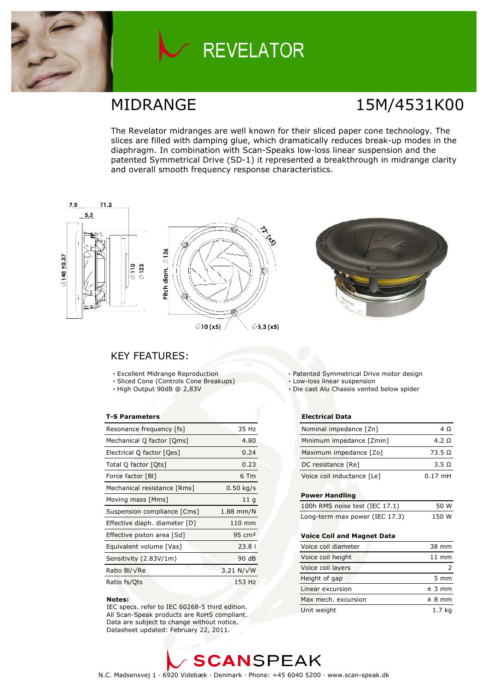

# **REVELATOR**

# MIDRANGE 15M/4531K00

The Revelator midranges are well known for their sliced paper cone technology. The slices are filled with damping glue, which dramatically reduces break-up modes in the diaphragm. In combination with Scan-Speaks low-loss linear suspension and the patented Symmetrical Drive (SD-1) it represented a breakthrough in midrange clarity and overall smooth frequency response characteristics.



### **KEY FEATURES:**

- · Excellent Midrange Reproduction
- · Sliced Cone (Controls Cone Breakups)
- · High Output 90dB @ 2,83V

### **T-S Parameters**

| Resonance frequency [fs]      | 35 Hz              |
|-------------------------------|--------------------|
| Mechanical Q factor [Qms]     | 4.80               |
| Electrical Q factor [Qes]     | 0.24               |
| Total Q factor [Ots]          | 0.23               |
| Force factor [BI]             | 6 Tm               |
| Mechanical resistance [Rms]   | $0.50$ kg/s        |
| Moving mass [Mms]             | 11 <sub>q</sub>    |
| Suspension compliance [Cms]   | $1.88$ mm/N        |
| Effective diaph. diameter [D] | 110 mm             |
| Effective piston area [Sd]    | 95 cm <sup>2</sup> |
| Equivalent volume [Vas]       | 23.81              |
| Sensitivity (2.83V/1m)        | 90 dB              |
| Ratio Bl/√Re                  | $3.21 N/\sqrt{W}$  |
| Ratio fs/Qts                  | 153 Hz             |

#### Notes:

IEC specs. refer to IEC 60268-5 third edition. All Scan-Speak products are RoHS compliant. Data are subject to change without notice. Datasheet updated: February 22, 2011.

- · Patented Symmetrical Drive motor design
- · Low-loss linear suspension
- · Die cast Alu Chassis vented below spider

### **Electrical Data**

| Nominal impedance [Zn]     | 4 O            |
|----------------------------|----------------|
| Minimum impedance [Zmin]   | 4.2 Q          |
| Maximum impedance [Zo]     | $73.5\ \Omega$ |
| DC resistance [Re]         | 3.5 Q          |
| Voice coil inductance [Le] | $0.17$ mH      |

### **Power Handling**

| 100h RMS noise test (IEC 17.1) | 50 W  |
|--------------------------------|-------|
| Long-term max power (IEC 17.3) | 150 W |

### Voice Coil and Magnet Data

| Voice coil diameter | 38 mm           |
|---------------------|-----------------|
| Voice coil height   | $11 \text{ mm}$ |
| Voice coil layers   |                 |
| Height of gap       | $5 \text{ mm}$  |
| Linear excursion    | ± 3 mm          |
| Max mech, excursion | ± 8 mm          |
| Unit weight         | 1.7 ka          |